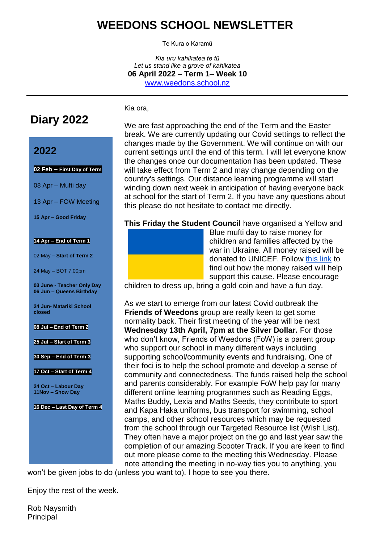## **WEEDONS SCHOOL NEWSLETTER**

Te Kura o Karamū

*Kia uru kahikatea te tũ Let us stand like a grove of kahikatea* **06 April 2022 – Term 1– Week 10** [www.weedons.school.nz](http://www.weedons.school.nz/)

**Diary 2022**

### **2022**

#### **02 Feb – First Day of Term**

08 Apr – Mufti day

13 Apr – FOW Meeting

**15 Apr – Good Friday**

#### **14 Apr – End of Term 1**

02 May **– Start of Term 2**

24 May – BOT 7.00pm

**03 June - Teacher Only Day 06 Jun – Queens Birthday**

**24 Jun- Matariki School closed**

**08 Jul – End of Term 2**

**25 Jul – Start of Term 3**

**30 Sep – End of Term 3**

**17 Oct – Start of Term 4**

**24 Oct – Labour Day 11Nov – Show Day**

**16 Dec – Last Day of Term 4**

We are fast approaching the end of the Term and the Easter break. We are currently updating our Covid settings to reflect the changes made by the Government. We will continue on with our current settings until the end of this term. I will let everyone know the changes once our documentation has been updated. These will take effect from Term 2 and may change depending on the country's settings. Our distance learning programme will start winding down next week in anticipation of having everyone back at school for the start of Term 2. If you have any questions about this please do not hesitate to contact me directly.

**This Friday the Student Council** have organised a Yellow and



Kia ora,

Blue mufti day to raise money for children and families affected by the war in Ukraine. All money raised will be donated to UNICEF. Follow [this link](https://www.unicef.org/emergencies/war-ukraine-pose-immediate-threat-children) to find out how the money raised will help support this cause. Please encourage

children to dress up, bring a gold coin and have a fun day.

As we start to emerge from our latest Covid outbreak the **Friends of Weedons** group are really keen to get some normality back. Their first meeting of the year will be next **Wednesday 13th April, 7pm at the Silver Dollar.** For those who don't know, Friends of Weedons (FoW) is a parent group who support our school in many different ways including supporting school/community events and fundraising. One of their foci is to help the school promote and develop a sense of community and connectedness. The funds raised help the school and parents considerably. For example FoW help pay for many different online learning programmes such as Reading Eggs, Maths Buddy, Lexia and Maths Seeds, they contribute to sport and Kapa Haka uniforms, bus transport for swimming, school camps, and other school resources which may be requested from the school through our Targeted Resource list (Wish List). They often have a major project on the go and last year saw the completion of our amazing Scooter Track. If you are keen to find out more please come to the meeting this Wednesday. Please note attending the meeting in no-way ties you to anything, you

won't be given jobs to do (unless you want to). I hope to see you there.

Enjoy the rest of the week.

Rob Naysmith **Principal**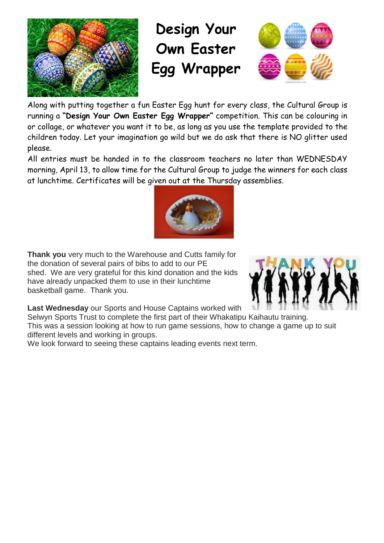

# **Design Your Own Easter Egg Wrapper**



Along with putting together a fun Easter Egg hunt for every cl[ass, th](https://creativecommons.org/licenses/by-sa/3.0/)e Cultural Group is running a **"Design Your Own Easter Egg Wrapper"** competition. This can be colouring in or collage, or whatever you want it to be, as long as you use the template provided to the children today. Let your imagination go wild but we do ask that there is NO glitter used please.

All entries must be handed in to the classroom teachers no later than WEDNESDAY morning, April 13, to allow time for the Cultural Group to judge the winners for each class at lunchtime. Certificates will be given out at the Thursday assemblies.



**Thank you** very much to the Warehouse and Cutts family for the donation of several pairs of bibs to add to our PE shed. We are very grateful for this kind donation and the kids have already unpacked them to use in their lunchtime basketball game. Thank you.



**Last Wednesday** our Sports and House Captains worked with

Selwyn Sports Trust to complete the first part of their Whakatipu Kaihautu training. This was a session looking at how to run game sessions, how to change a game up to suit different levels and working in groups.

We look forward to seeing these captains leading events next term.